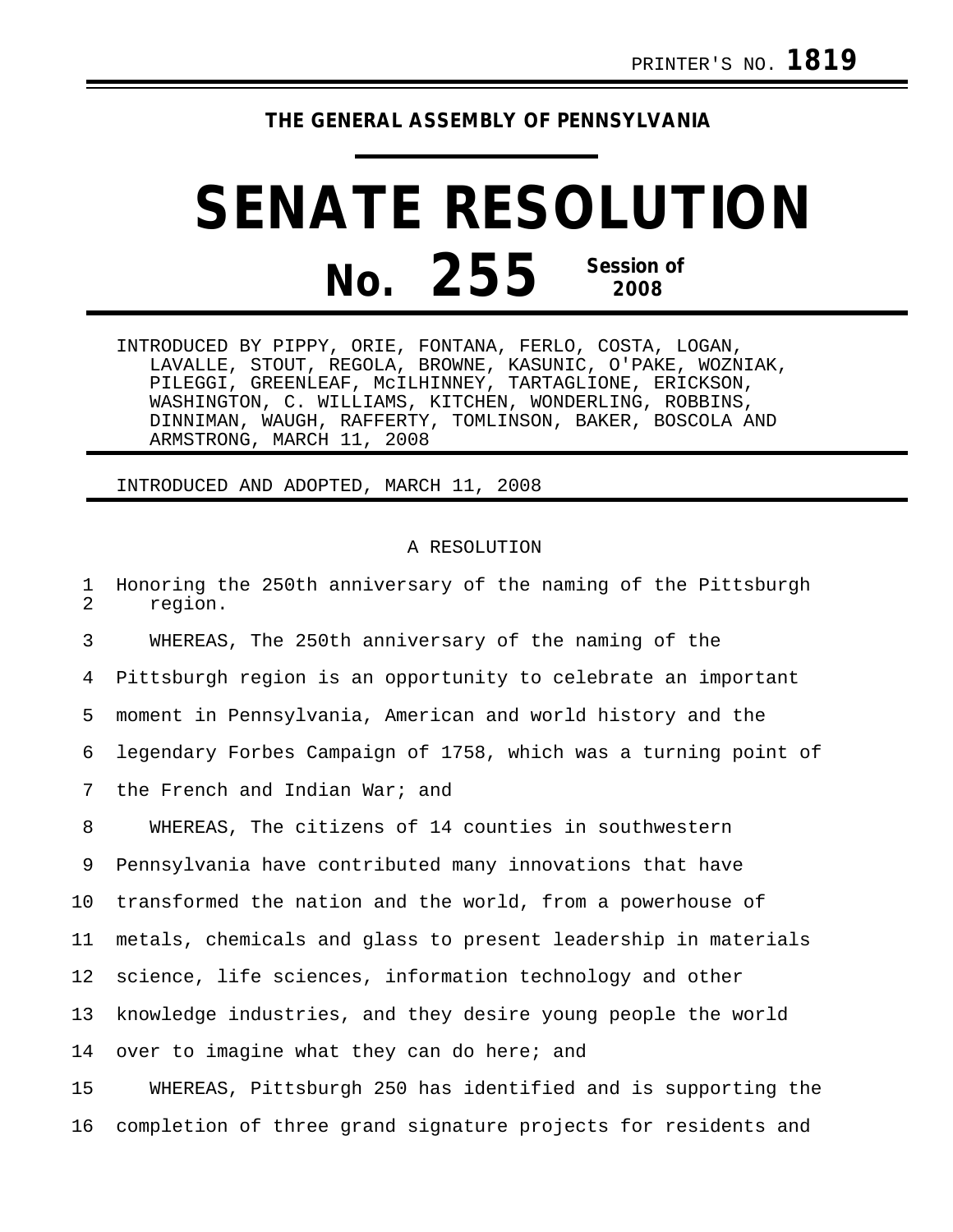## **THE GENERAL ASSEMBLY OF PENNSYLVANIA**

## **SENATE RESOLUTION No. 255 Session of 2008**

INTRODUCED BY PIPPY, ORIE, FONTANA, FERLO, COSTA, LOGAN, LAVALLE, STOUT, REGOLA, BROWNE, KASUNIC, O'PAKE, WOZNIAK, PILEGGI, GREENLEAF, McILHINNEY, TARTAGLIONE, ERICKSON, WASHINGTON, C. WILLIAMS, KITCHEN, WONDERLING, ROBBINS, DINNIMAN, WAUGH, RAFFERTY, TOMLINSON, BAKER, BOSCOLA AND ARMSTRONG, MARCH 11, 2008

INTRODUCED AND ADOPTED, MARCH 11, 2008

## A RESOLUTION

1 Honoring the 250th anniversary of the naming of the Pittsburgh<br>2 Tegion region.

3 WHEREAS, The 250th anniversary of the naming of the 4 Pittsburgh region is an opportunity to celebrate an important 5 moment in Pennsylvania, American and world history and the 6 legendary Forbes Campaign of 1758, which was a turning point of 7 the French and Indian War; and

8 WHEREAS, The citizens of 14 counties in southwestern 9 Pennsylvania have contributed many innovations that have 10 transformed the nation and the world, from a powerhouse of 11 metals, chemicals and glass to present leadership in materials 12 science, life sciences, information technology and other 13 knowledge industries, and they desire young people the world 14 over to imagine what they can do here; and 15 WHEREAS, Pittsburgh 250 has identified and is supporting the

16 completion of three grand signature projects for residents and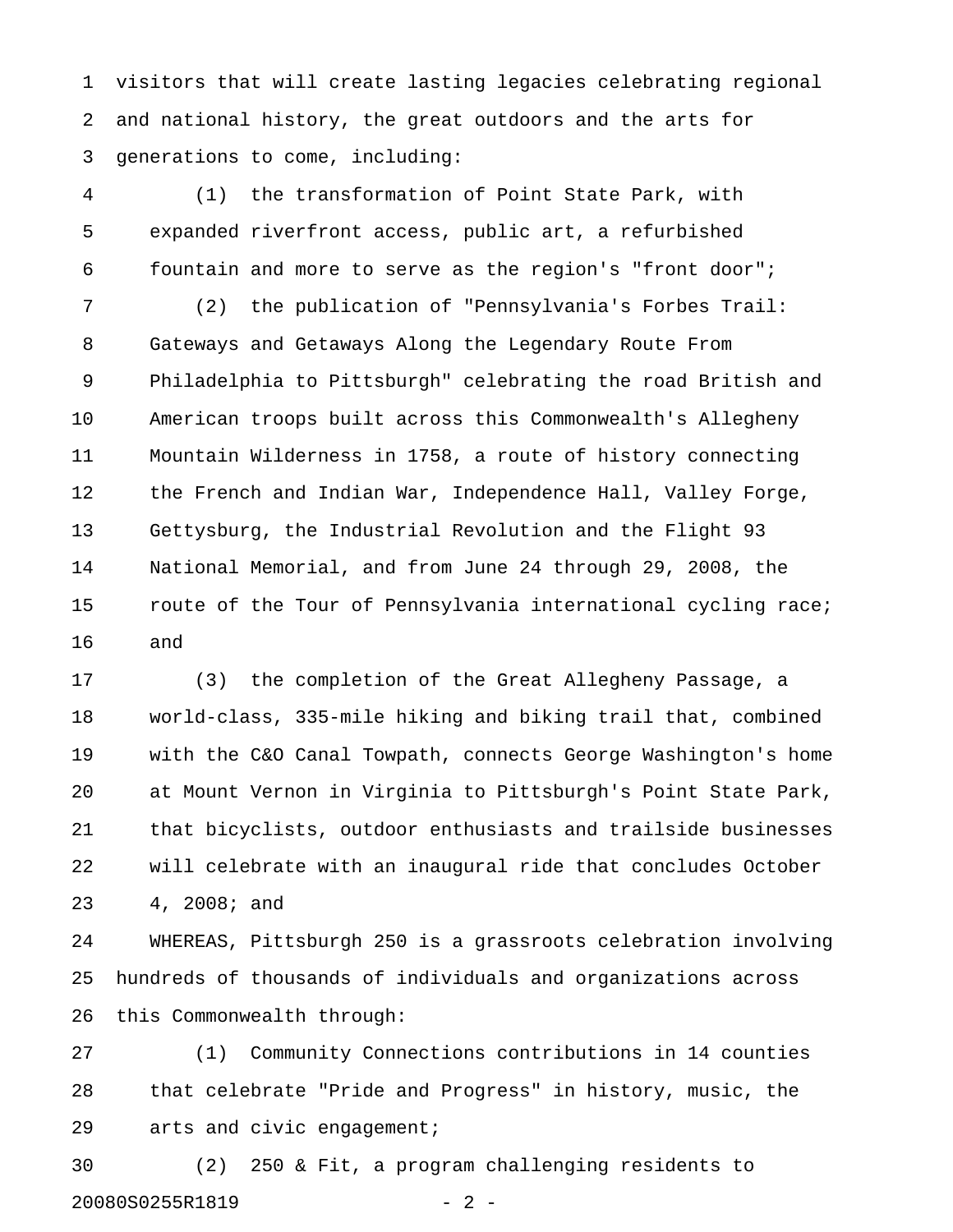1 visitors that will create lasting legacies celebrating regional 2 and national history, the great outdoors and the arts for 3 generations to come, including:

4 (1) the transformation of Point State Park, with 5 expanded riverfront access, public art, a refurbished 6 fountain and more to serve as the region's "front door";

7 (2) the publication of "Pennsylvania's Forbes Trail: 8 Gateways and Getaways Along the Legendary Route From 9 Philadelphia to Pittsburgh" celebrating the road British and 10 American troops built across this Commonwealth's Allegheny 11 Mountain Wilderness in 1758, a route of history connecting 12 the French and Indian War, Independence Hall, Valley Forge, 13 Gettysburg, the Industrial Revolution and the Flight 93 14 National Memorial, and from June 24 through 29, 2008, the 15 route of the Tour of Pennsylvania international cycling race; 16 and

17 (3) the completion of the Great Allegheny Passage, a 18 world-class, 335-mile hiking and biking trail that, combined 19 with the C&O Canal Towpath, connects George Washington's home 20 at Mount Vernon in Virginia to Pittsburgh's Point State Park, 21 that bicyclists, outdoor enthusiasts and trailside businesses 22 will celebrate with an inaugural ride that concludes October 23 4, 2008; and

24 WHEREAS, Pittsburgh 250 is a grassroots celebration involving 25 hundreds of thousands of individuals and organizations across 26 this Commonwealth through:

27 (1) Community Connections contributions in 14 counties 28 that celebrate "Pride and Progress" in history, music, the 29 arts and civic engagement;

30 (2) 250 & Fit, a program challenging residents to 20080S0255R1819 - 2 -